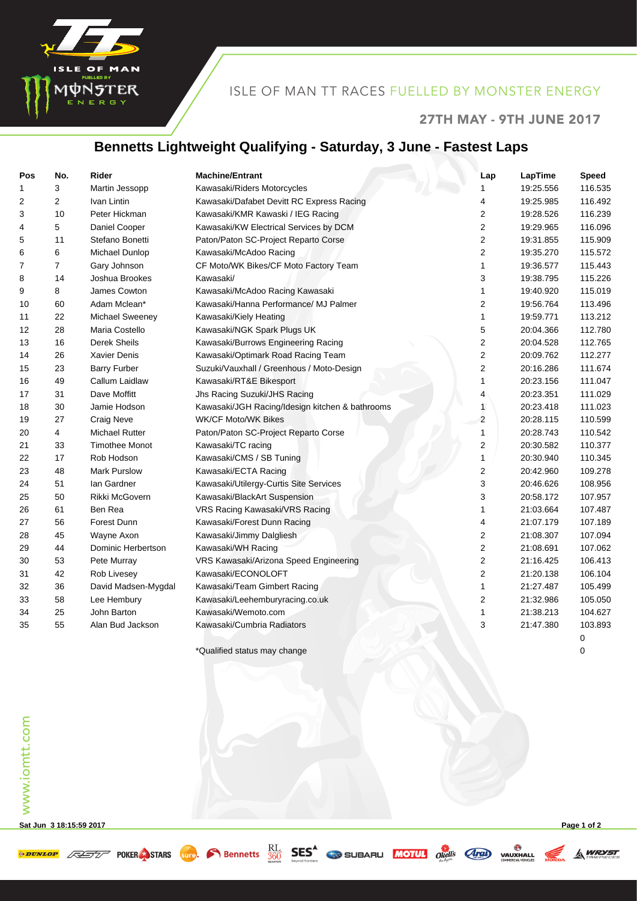

## ISLE OF MAN TT RACES FUELLED BY MONSTER ENERGY

#### 27TH MAY - 9TH JUNE 2017

#### **Bennetts Lightweight Qualifying - Saturday, 3 June - Fastest Laps**

| Pos | No.            | <b>Rider</b>          | <b>Machine/Entrant</b>                          | Lap                     | LapTime   | <b>Speed</b> |
|-----|----------------|-----------------------|-------------------------------------------------|-------------------------|-----------|--------------|
| 1   | 3              | Martin Jessopp        | Kawasaki/Riders Motorcycles                     | 1                       | 19:25.556 | 116.535      |
| 2   | 2              | Ivan Lintin           | Kawasaki/Dafabet Devitt RC Express Racing       | 4                       | 19:25.985 | 116.492      |
| 3   | 10             | Peter Hickman         | Kawasaki/KMR Kawaski / IEG Racing               | $\overline{2}$          | 19:28.526 | 116.239      |
| 4   | 5              | Daniel Cooper         | Kawasaki/KW Electrical Services by DCM          | 2                       | 19:29.965 | 116.096      |
| 5   | 11             | Stefano Bonetti       | Paton/Paton SC-Project Reparto Corse            | 2                       | 19:31.855 | 115.909      |
| 6   | 6              | Michael Dunlop        | Kawasaki/McAdoo Racing                          | 2                       | 19:35.270 | 115.572      |
| 7   | $\overline{7}$ | Gary Johnson          | CF Moto/WK Bikes/CF Moto Factory Team           | 1                       | 19:36.577 | 115.443      |
| 8   | 14             | Joshua Brookes        | Kawasaki/                                       | 3                       | 19:38.795 | 115.226      |
| 9   | 8              | James Cowton          | Kawasaki/McAdoo Racing Kawasaki                 | 1                       | 19:40.920 | 115.019      |
| 10  | 60             | Adam Mclean*          | Kawasaki/Hanna Performance/ MJ Palmer           | 2                       | 19:56.764 | 113.496      |
| 11  | 22             | Michael Sweeney       | Kawasaki/Kiely Heating                          | 1                       | 19:59.771 | 113.212      |
| 12  | 28             | Maria Costello        | Kawasaki/NGK Spark Plugs UK                     | 5                       | 20:04.366 | 112.780      |
| 13  | 16             | <b>Derek Sheils</b>   | Kawasaki/Burrows Engineering Racing             | $\overline{\mathbf{c}}$ | 20:04.528 | 112.765      |
| 14  | 26             | <b>Xavier Denis</b>   | Kawasaki/Optimark Road Racing Team              | $\overline{\mathbf{c}}$ | 20:09.762 | 112.277      |
| 15  | 23             | <b>Barry Furber</b>   | Suzuki/Vauxhall / Greenhous / Moto-Design       | $\overline{2}$          | 20:16.286 | 111.674      |
| 16  | 49             | Callum Laidlaw        | Kawasaki/RT&E Bikesport                         | 1                       | 20:23.156 | 111.047      |
| 17  | 31             | Dave Moffitt          | Jhs Racing Suzuki/JHS Racing                    | 4                       | 20:23.351 | 111.029      |
| 18  | 30             | Jamie Hodson          | Kawasaki/JGH Racing/Idesign kitchen & bathrooms | $\mathbf{1}$            | 20:23.418 | 111.023      |
| 19  | 27             | <b>Craig Neve</b>     | <b>WK/CF Moto/WK Bikes</b>                      | $\overline{2}$          | 20:28.115 | 110.599      |
| 20  | 4              | <b>Michael Rutter</b> | Paton/Paton SC-Project Reparto Corse            | $\mathbf{1}$            | 20:28.743 | 110.542      |
| 21  | 33             | <b>Timothee Monot</b> | Kawasaki/TC racing                              | $\overline{\mathbf{c}}$ | 20:30.582 | 110.377      |
| 22  | 17             | Rob Hodson            | Kawasaki/CMS / SB Tuning                        | 1                       | 20:30.940 | 110.345      |
| 23  | 48             | Mark Purslow          | Kawasaki/ECTA Racing                            | $\overline{\mathbf{c}}$ | 20:42.960 | 109.278      |
| 24  | 51             | lan Gardner           | Kawasaki/Utilergy-Curtis Site Services          | 3                       | 20:46.626 | 108.956      |
| 25  | 50             | Rikki McGovern        | Kawasaki/BlackArt Suspension                    | 3                       | 20:58.172 | 107.957      |
| 26  | 61             | Ben Rea               | VRS Racing Kawasaki/VRS Racing                  | 1                       | 21:03.664 | 107.487      |
| 27  | 56             | Forest Dunn           | Kawasaki/Forest Dunn Racing                     | 4                       | 21:07.179 | 107.189      |
| 28  | 45             | Wayne Axon            | Kawasaki/Jimmy Dalgliesh                        | $\overline{\mathbf{c}}$ | 21:08.307 | 107.094      |
| 29  | 44             | Dominic Herbertson    | Kawasaki/WH Racing                              | $\overline{2}$          | 21:08.691 | 107.062      |
| 30  | 53             | Pete Murray           | VRS Kawasaki/Arizona Speed Engineering          | $\overline{2}$          | 21:16.425 | 106.413      |
| 31  | 42             | Rob Livesey           | Kawasaki/ECONOLOFT                              | $\overline{2}$          | 21:20.138 | 106.104      |
| 32  | 36             | David Madsen-Mygdal   | Kawasaki/Team Gimbert Racing                    | 1                       | 21:27.487 | 105.499      |
| 33  | 58             | Lee Hembury           | Kawasaki/Leehemburyracing.co.uk                 | $\overline{\mathbf{c}}$ | 21:32.986 | 105.050      |
| 34  | 25             | John Barton           | Kawasaki/Wemoto.com                             | 1                       | 21:38.213 | 104.627      |
| 35  | 55             | Alan Bud Jackson      | Kawasaki/Cumbria Radiators                      | 3                       | 21:47.380 | 103.893      |
|     |                |                       |                                                 |                         |           | 0            |

\*Qualified status may change 0

**Sat Jun 3 18:15:59 2017 Page 1 of 2**

**A WRYST**